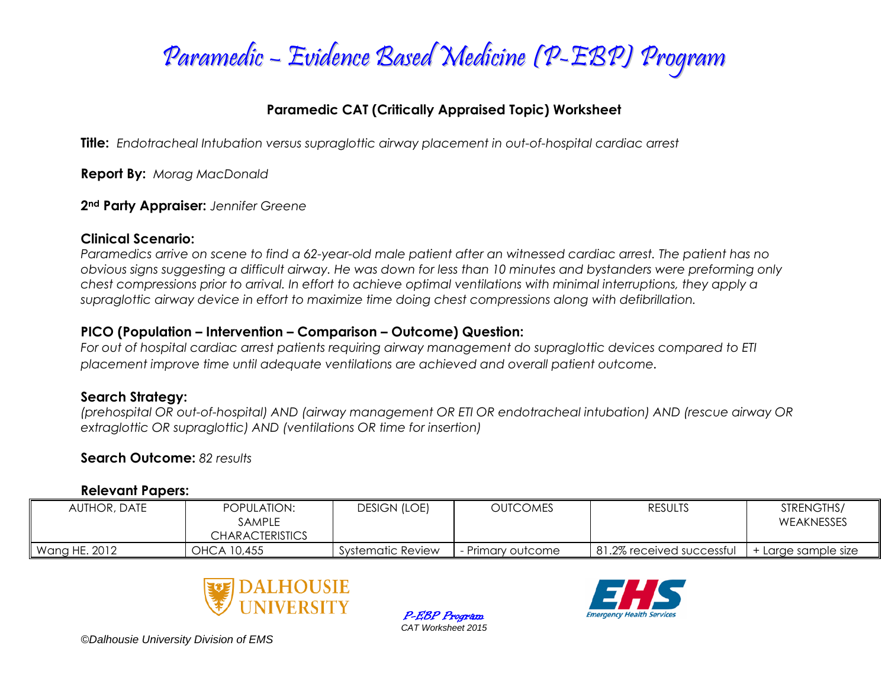

### **Paramedic CAT (Critically Appraised Topic) Worksheet**

**Title:** *Endotracheal Intubation versus supraglottic airway placement in out-of-hospital cardiac arrest*

**Report By:** *Morag MacDonald*

**2nd Party Appraiser:** *Jennifer Greene*

### **Clinical Scenario:**

*Paramedics arrive on scene to find a 62-year-old male patient after an witnessed cardiac arrest. The patient has no obvious signs suggesting a difficult airway. He was down for less than 10 minutes and bystanders were preforming only chest compressions prior to arrival. In effort to achieve optimal ventilations with minimal interruptions, they apply a supraglottic airway device in effort to maximize time doing chest compressions along with defibrillation.* 

### **PICO (Population – Intervention – Comparison – Outcome) Question:**

*For out of hospital cardiac arrest patients requiring airway management do supraglottic devices compared to ETI placement improve time until adequate ventilations are achieved and overall patient outcome.* 

# **Search Strategy:**

*(prehospital OR out-of-hospital) AND (airway management OR ETI OR endotracheal intubation) AND (rescue airway OR extraglottic OR supraglottic) AND (ventilations OR time for insertion)*

# **Search Outcome:** *82 results*

### **Relevant Papers:**

| AUTHOR, DATE  | POPULATION:<br>SAMPLE<br><b>CHARACTERISTICS</b> | DESIGN (LOE)      | <b>OUTCOMES</b>   | <b>RESULTS</b>            | STRENGTHS/<br>WEAKNESSES |
|---------------|-------------------------------------------------|-------------------|-------------------|---------------------------|--------------------------|
| Wang HE, 2012 | OHCA 10,455                                     | Systematic Review | - Primary outcome | 81.2% received successful | Large sample size        |



*©Dalhousie University Division of EMS*

P-EBP Program *CAT Worksheet 2015*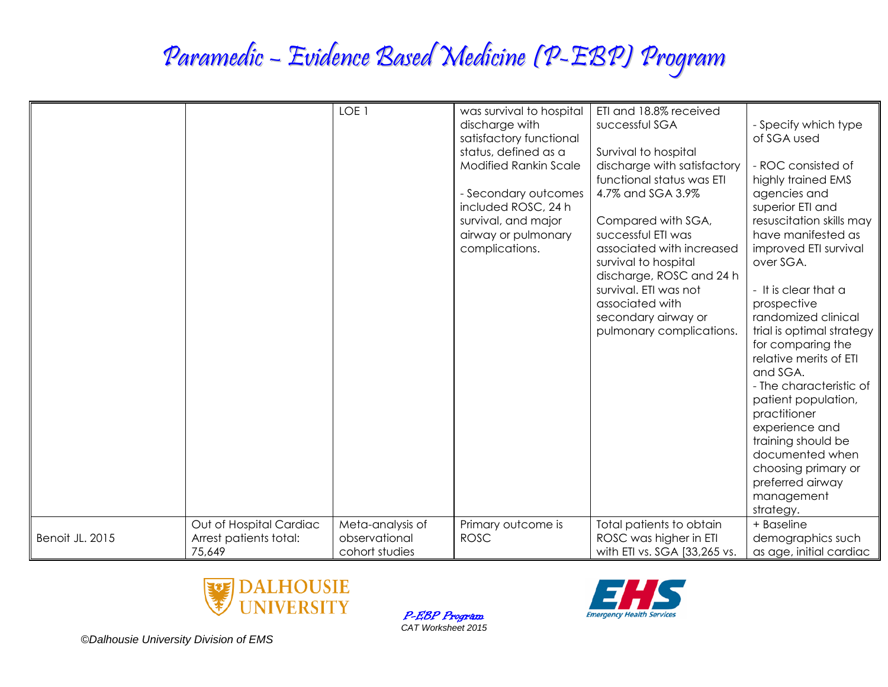# Paramedic – Evidence Based Medicine (P-EBP) Program

|                 |                         | LOE 1            |                                            | ETI and 18.8% received       |                           |
|-----------------|-------------------------|------------------|--------------------------------------------|------------------------------|---------------------------|
|                 |                         |                  | was survival to hospital<br>discharge with | successful SGA               | - Specify which type      |
|                 |                         |                  | satisfactory functional                    |                              | of SGA used               |
|                 |                         |                  | status, defined as a                       |                              |                           |
|                 |                         |                  |                                            | Survival to hospital         |                           |
|                 |                         |                  | <b>Modified Rankin Scale</b>               | discharge with satisfactory  | - ROC consisted of        |
|                 |                         |                  |                                            | functional status was ETI    | highly trained EMS        |
|                 |                         |                  | - Secondary outcomes                       | 4.7% and SGA 3.9%            | agencies and              |
|                 |                         |                  | included ROSC, 24 h                        |                              | superior ETI and          |
|                 |                         |                  | survival, and major                        | Compared with SGA,           | resuscitation skills may  |
|                 |                         |                  | airway or pulmonary                        | successful ETI was           | have manifested as        |
|                 |                         |                  | complications.                             | associated with increased    | improved ETI survival     |
|                 |                         |                  |                                            | survival to hospital         | over SGA.                 |
|                 |                         |                  |                                            | discharge, ROSC and 24 h     |                           |
|                 |                         |                  |                                            | survival. ETI was not        | - It is clear that a      |
|                 |                         |                  |                                            | associated with              | prospective               |
|                 |                         |                  |                                            | secondary airway or          | randomized clinical       |
|                 |                         |                  |                                            | pulmonary complications.     | trial is optimal strategy |
|                 |                         |                  |                                            |                              | for comparing the         |
|                 |                         |                  |                                            |                              | relative merits of ETI    |
|                 |                         |                  |                                            |                              | and SGA.                  |
|                 |                         |                  |                                            |                              | - The characteristic of   |
|                 |                         |                  |                                            |                              | patient population,       |
|                 |                         |                  |                                            |                              | practitioner              |
|                 |                         |                  |                                            |                              | experience and            |
|                 |                         |                  |                                            |                              | training should be        |
|                 |                         |                  |                                            |                              | documented when           |
|                 |                         |                  |                                            |                              | choosing primary or       |
|                 |                         |                  |                                            |                              | preferred airway          |
|                 |                         |                  |                                            |                              | management                |
|                 |                         |                  |                                            |                              | strategy.                 |
|                 | Out of Hospital Cardiac | Meta-analysis of | Primary outcome is                         | Total patients to obtain     | + Baseline                |
| Benoit JL. 2015 | Arrest patients total:  | observational    | <b>ROSC</b>                                | ROSC was higher in ETI       | demographics such         |
|                 | 75,649                  | cohort studies   |                                            | with ETI vs. SGA [33,265 vs. | as age, initial cardiac   |





*©Dalhousie University Division of EMS*

P-EBP Program *CAT Worksheet 2015*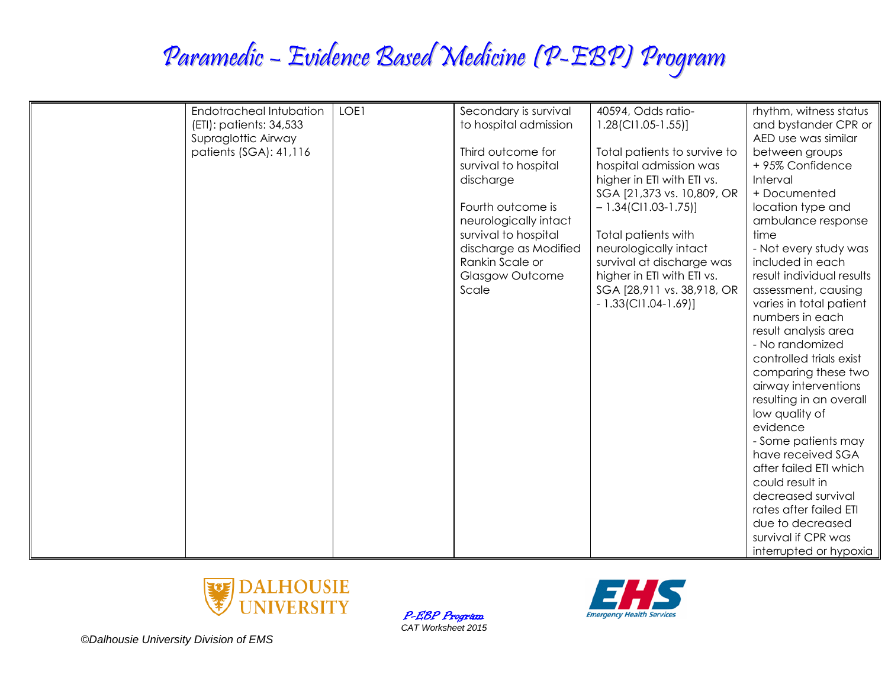# Paramedic – Evidence Based Medicine (P-EBP) Program

| Endotracheal Intubation | LOE1 | Secondary is survival  | 40594, Odds ratio-           | rhythm, witness status    |
|-------------------------|------|------------------------|------------------------------|---------------------------|
| (ETI): patients: 34,533 |      | to hospital admission  | $1.28$ (CI1.05-1.55)]        | and bystander CPR or      |
| Supraglottic Airway     |      |                        |                              | AED use was similar       |
| patients (SGA): 41,116  |      | Third outcome for      | Total patients to survive to | between groups            |
|                         |      | survival to hospital   | hospital admission was       | +95% Confidence           |
|                         |      | discharge              | higher in ETI with ETI vs.   | Interval                  |
|                         |      |                        | SGA [21,373 vs. 10,809, OR   | + Documented              |
|                         |      | Fourth outcome is      | $-1.34$ (CI1.03-1.75)]       | location type and         |
|                         |      | neurologically intact  |                              | ambulance response        |
|                         |      | survival to hospital   | <b>Total patients with</b>   | time                      |
|                         |      | discharge as Modified  | neurologically intact        | - Not every study was     |
|                         |      | Rankin Scale or        | survival at discharge was    | included in each          |
|                         |      | <b>Glasgow Outcome</b> | higher in ETI with ETI vs.   | result individual results |
|                         |      | Scale                  | SGA [28,911 vs. 38,918, OR   | assessment, causing       |
|                         |      |                        | $-1.33$ (CI1.04-1.69)]       | varies in total patient   |
|                         |      |                        |                              | numbers in each           |
|                         |      |                        |                              | result analysis area      |
|                         |      |                        |                              | - No randomized           |
|                         |      |                        |                              | controlled trials exist   |
|                         |      |                        |                              | comparing these two       |
|                         |      |                        |                              | airway interventions      |
|                         |      |                        |                              | resulting in an overall   |
|                         |      |                        |                              | low quality of            |
|                         |      |                        |                              | evidence                  |
|                         |      |                        |                              | - Some patients may       |
|                         |      |                        |                              | have received SGA         |
|                         |      |                        |                              | after failed ETI which    |
|                         |      |                        |                              | could result in           |
|                         |      |                        |                              | decreased survival        |
|                         |      |                        |                              | rates after failed ETI    |
|                         |      |                        |                              | due to decreased          |
|                         |      |                        |                              | survival if CPR was       |
|                         |      |                        |                              | interrupted or hypoxia    |





*©Dalhousie University Division of EMS*

P-EBP Program *CAT Worksheet 2015*